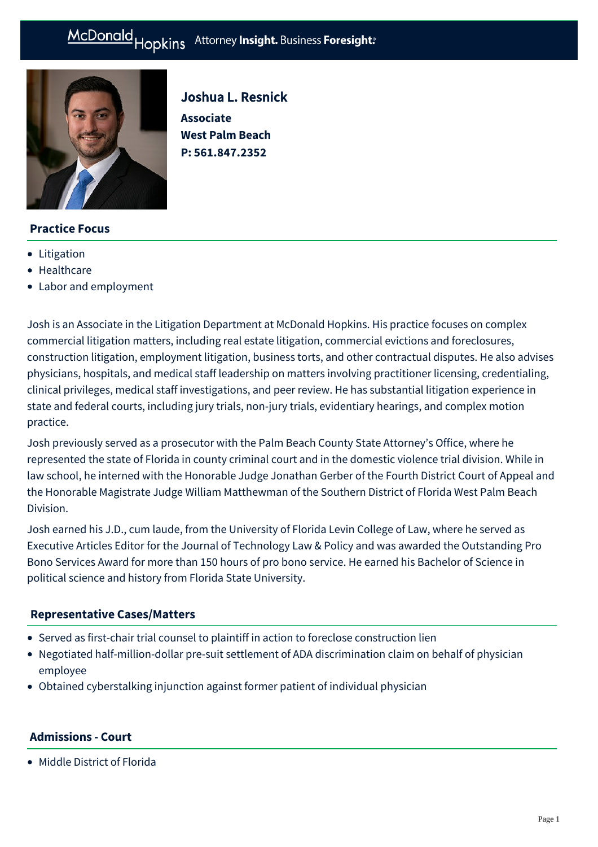#### Hopkins Attorney Insight. Business Foresight: McDonald

**Associate**

Joshua L. Resnick

**West Palm Beach P: [561.847.2352](tel:561.847.2352)**



# **Practice Focus**

- [Litigation](https://mcdonaldhopkins.com/Expertise/Litigation)
- [Healthcare](https://mcdonaldhopkins.com/Expertise/Business-counseling/Business-Restart-Task-Force/Healthcare)
- [Labor and employment](https://mcdonaldhopkins.com/Expertise/Labor-and-employment)

Josh is an Associate in the Litigation Department at McDonald Hopkins. His practice focuses on complex commercial litigation matters, including real estate litigation, commercial evictions and foreclosures, construction litigation, employment litigation, business torts, and other contractual disputes. He also advises physicians, hospitals, and medical staff leadership on matters involving practitioner licensing, credentialing, clinical privileges, medical staff investigations, and peer review. He has substantial litigation experience in state and federal courts, including jury trials, non-jury trials, evidentiary hearings, and complex motion practice.

Josh previously served as a prosecutor with the Palm Beach County State Attorney's Office, where he represented the state of Florida in county criminal court and in the domestic violence trial division. While in law school, he interned with the Honorable Judge Jonathan Gerber of the Fourth District Court of Appeal and the Honorable Magistrate Judge William Matthewman of the Southern District of Florida West Palm Beach Division.

Josh earned his J.D., cum laude, from the University of Florida Levin College of Law, where he served as Executive Articles Editor for the Journal of Technology Law & Policy and was awarded the Outstanding Pro Bono Services Award for more than 150 hours of pro bono service. He earned his Bachelor of Science in political science and history from Florida State University.

## **[Representative Cases/Matters](#page-0-0)**

- <span id="page-0-0"></span>Served as first-chair trial counsel to plaintiff in action to foreclose construction lien
- Negotiated half-million-dollar pre-suit settlement of ADA discrimination claim on behalf of physician employee
- Obtained cyberstalking injunction against former patient of individual physician

## **Admissions - Court**

Middle District of Florida